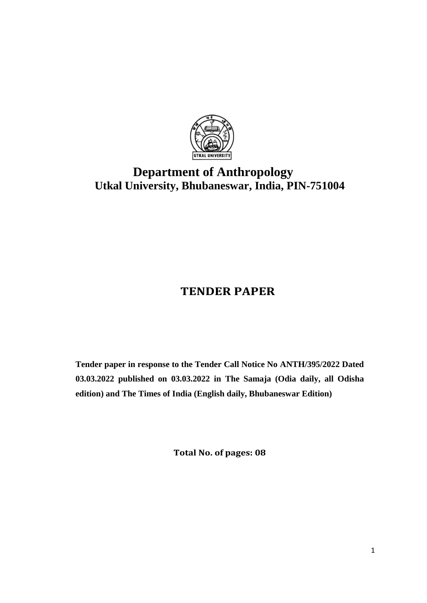

# **Department of Anthropology Utkal University, Bhubaneswar, India, PIN-751004**

## **TENDER PAPER**

**Tender paper in response to the Tender Call Notice No ANTH/395/2022 Dated 03.03.2022 published on 03.03.2022 in The Samaja (Odia daily, all Odisha edition) and The Times of India (English daily, Bhubaneswar Edition)**

**Total No. of pages: 08**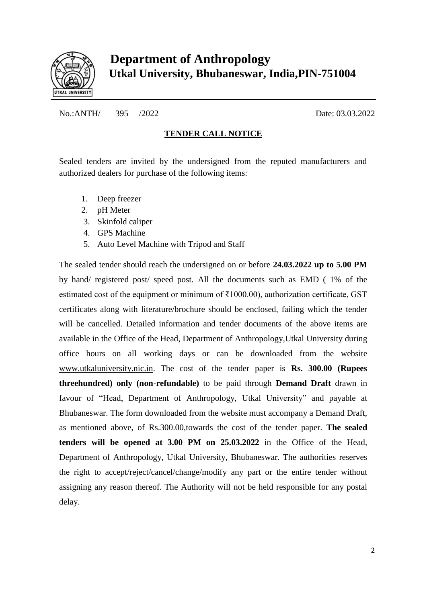

No.:ANTH/ 395 /2022 Date: 03.03.2022

#### **TENDER CALL NOTICE**

Sealed tenders are invited by the undersigned from the reputed manufacturers and authorized dealers for purchase of the following items:

- 1. Deep freezer
- 2. pH Meter
- 3. Skinfold caliper
- 4. GPS Machine
- 5. Auto Level Machine with Tripod and Staff

The sealed tender should reach the undersigned on or before **24.03.2022 up to 5.00 PM** by hand/ registered post/ speed post. All the documents such as EMD ( 1% of the estimated cost of the equipment or minimum of ₹1000.00), authorization certificate, GST certificates along with literature/brochure should be enclosed, failing which the tender will be cancelled. Detailed information and tender documents of the above items are available in the Office of the Head, Department of Anthropology,Utkal University during office hours on all working days or can be downloaded from the website [www.utkaluniversity.nic.in.](http://www.utkaluniversity.nic.in/) The cost of the tender paper is **Rs. 300.00 (Rupees threehundred) only (non-refundable)** to be paid through **Demand Draft** drawn in favour of "Head, Department of Anthropology, Utkal University" and payable at Bhubaneswar. The form downloaded from the website must accompany a Demand Draft, as mentioned above, of Rs.300.00,towards the cost of the tender paper. **The sealed tenders will be opened at 3.00 PM on 25.03.2022** in the Office of the Head, Department of Anthropology, Utkal University, Bhubaneswar. The authorities reserves the right to accept/reject/cancel/change/modify any part or the entire tender without assigning any reason thereof. The Authority will not be held responsible for any postal delay.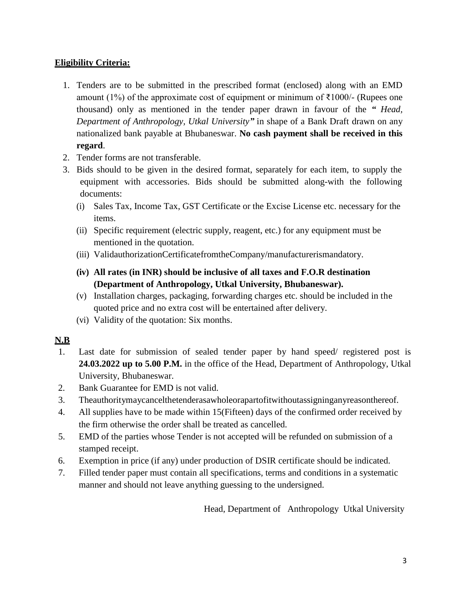#### **Eligibility Criteria:**

- 1. Tenders are to be submitted in the prescribed format (enclosed) along with an EMD amount (1%) of the approximate cost of equipment or minimum of  $\bar{\tau}$ 1000/- (Rupees one thousand) only as mentioned in the tender paper drawn in favour of the *" Head, Department of Anthropology, Utkal University"* in shape of a Bank Draft drawn on any nationalized bank payable at Bhubaneswar. **No cash payment shall be received in this regard**.
- 2. Tender forms are not transferable.
- 3. Bids should to be given in the desired format, separately for each item, to supply the equipment with accessories. Bids should be submitted along-with the following documents:
	- (i) Sales Tax, Income Tax, GST Certificate or the Excise License etc. necessary for the items.
	- (ii) Specific requirement (electric supply, reagent, etc.) for any equipment must be mentioned in the quotation.
	- (iii) ValidauthorizationCertificatefromtheCompany/manufacturerismandatory.
	- **(iv) All rates (in INR) should be inclusive of all taxes and F.O.R destination (Department of Anthropology, Utkal University, Bhubaneswar).**
	- (v) Installation charges, packaging, forwarding charges etc. should be included in the quoted price and no extra cost will be entertained after delivery.
	- (vi) Validity of the quotation: Six months.

#### **N.B**

- 1. Last date for submission of sealed tender paper by hand speed/ registered post is **24.03.2022 up to 5.00 P.M.** in the office of the Head, Department of Anthropology, Utkal University, Bhubaneswar.
- 2. Bank Guarantee for EMD is not valid.
- 3. Theauthoritymaycancelthetenderasawholeorapartofitwithoutassigninganyreasonthereof.
- 4. All supplies have to be made within 15(Fifteen) days of the confirmed order received by the firm otherwise the order shall be treated as cancelled.
- 5. EMD of the parties whose Tender is not accepted will be refunded on submission of a stamped receipt.
- 6. Exemption in price (if any) under production of DSIR certificate should be indicated.
- 7. Filled tender paper must contain all specifications, terms and conditions in a systematic manner and should not leave anything guessing to the undersigned.

Head, Department of Anthropology Utkal University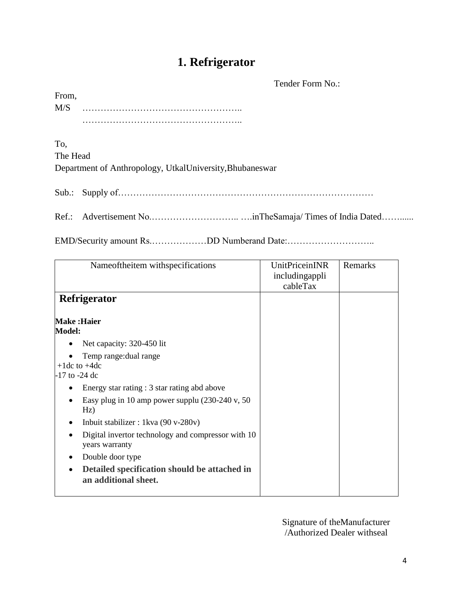### **1. Refrigerator**

Tender Form No.:

| From, |  |  |  |  |  |  |  |  |  |  |  |  |  |  |  |  |  |  |  |
|-------|--|--|--|--|--|--|--|--|--|--|--|--|--|--|--|--|--|--|--|
| M/S   |  |  |  |  |  |  |  |  |  |  |  |  |  |  |  |  |  |  |  |
|       |  |  |  |  |  |  |  |  |  |  |  |  |  |  |  |  |  |  |  |

To,

The Head

Department of Anthropology, UtkalUniversity,Bhubaneswar

Sub.: Supply of…………………………………………………………………………

Ref.: Advertisement No.……………………….. ….inTheSamaja/ Times of India Dated……......

EMD/Security amount Rs.………………DD Numberand Date:………………………..

| Nameoftheitem withspecifications                                     | <b>UnitPriceinINR</b><br>includingappli<br>cableTax | Remarks |
|----------------------------------------------------------------------|-----------------------------------------------------|---------|
| Refrigerator                                                         |                                                     |         |
| <b>Make:Haier</b><br><b>Model:</b>                                   |                                                     |         |
| Net capacity: 320-450 lit                                            |                                                     |         |
| Temp range: dual range<br>$+1$ dc to $+4$ dc<br>$-17$ to $-24$ dc    |                                                     |         |
| Energy star rating : 3 star rating abd above                         |                                                     |         |
| Easy plug in 10 amp power supplu $(230-240 \text{ v}, 50)$<br>Hz)    |                                                     |         |
| Inbuit stabilizer : 1 kva $(90 v-280v)$                              |                                                     |         |
| Digital invertor technology and compressor with 10<br>years warranty |                                                     |         |
| Double door type                                                     |                                                     |         |
| Detailed specification should be attached in<br>an additional sheet. |                                                     |         |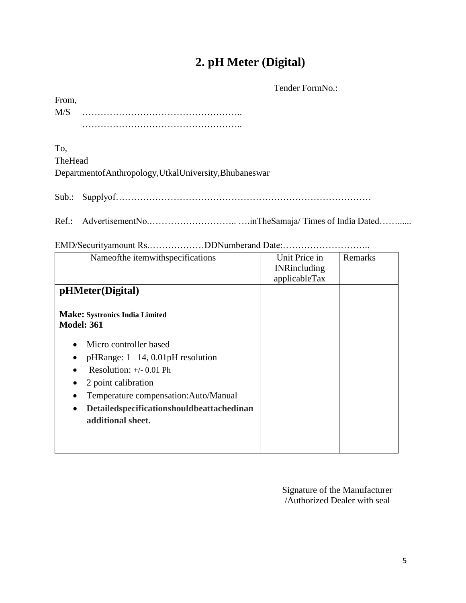### **2. pH Meter (Digital)**

Tender FormNo.:

| From, |  |  |  |  |  |  |  |  |  |  |  |  |  |  |  |  |  |  |
|-------|--|--|--|--|--|--|--|--|--|--|--|--|--|--|--|--|--|--|
| M/S   |  |  |  |  |  |  |  |  |  |  |  |  |  |  |  |  |  |  |
|       |  |  |  |  |  |  |  |  |  |  |  |  |  |  |  |  |  |  |

To,

| TheHead |                                                      |  |
|---------|------------------------------------------------------|--|
|         | DepartmentofAnthropology,UtkalUniversity,Bhubaneswar |  |

Sub.: Supplyof…………………………………………………………………………

Ref.: AdvertisementNo.……………………….. ….inTheSamaja/ Times of India Dated……......

| Nameofthe itemwithspecifications                       | Unit Price in       | Remarks |
|--------------------------------------------------------|---------------------|---------|
|                                                        | <b>INRincluding</b> |         |
|                                                        | applicableTax       |         |
|                                                        |                     |         |
| pHMeter(Digital)                                       |                     |         |
|                                                        |                     |         |
| <b>Make: Systronics India Limited</b>                  |                     |         |
| <b>Model: 361</b>                                      |                     |         |
|                                                        |                     |         |
| Micro controller based<br>$\bullet$                    |                     |         |
| $pHRange: 1-14, 0.01pH resolution$                     |                     |         |
| ٠                                                      |                     |         |
| Resolution: $+/- 0.01$ Ph                              |                     |         |
| 2 point calibration<br>٠                               |                     |         |
| Temperature compensation: Auto/Manual<br>$\bullet$     |                     |         |
| Detailedspecificationshouldbeattachedinan<br>$\bullet$ |                     |         |
| additional sheet.                                      |                     |         |
|                                                        |                     |         |
|                                                        |                     |         |
|                                                        |                     |         |
|                                                        |                     |         |

EMD/Securityamount Rs.………………DDNumberand Date:………………………..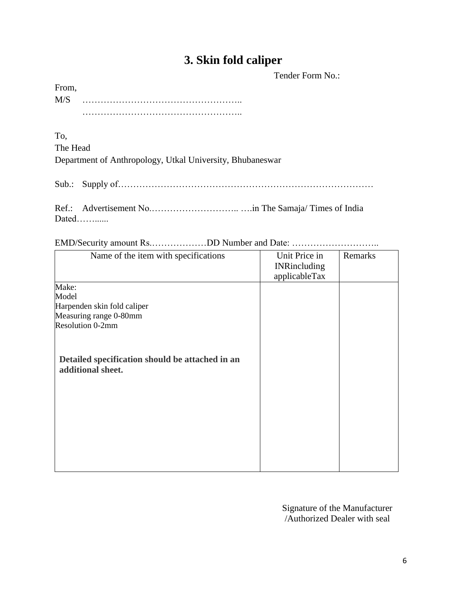#### **3. Skin fold caliper**

Tender Form No.:

From, M/S …………………………………………….. ……………………………………………..

To,

The Head

Department of Anthropology, Utkal University, Bhubaneswar

Sub.: Supply of…………………………………………………………………………

Ref.: Advertisement No.……………………….. ….in The Samaja/ Times of India Dated……......

EMD/Security amount Rs.………………DD Number and Date: ………………………..

| Name of the item with specifications                                 | Unit Price in<br><b>INRincluding</b><br>applicableTax | Remarks |
|----------------------------------------------------------------------|-------------------------------------------------------|---------|
| Make:                                                                |                                                       |         |
| Model                                                                |                                                       |         |
| Harpenden skin fold caliper                                          |                                                       |         |
| Measuring range 0-80mm                                               |                                                       |         |
| Resolution 0-2mm                                                     |                                                       |         |
| Detailed specification should be attached in an<br>additional sheet. |                                                       |         |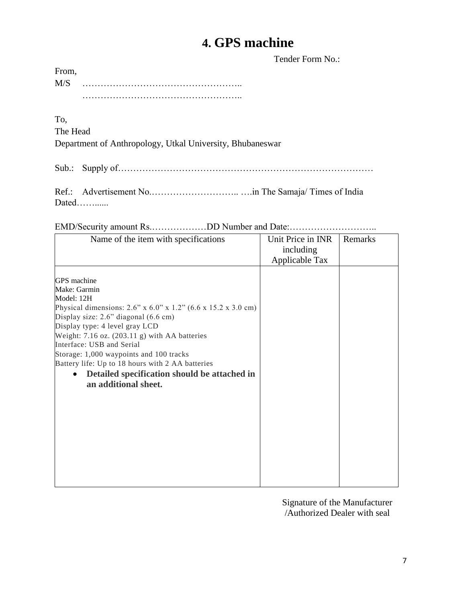### **4. GPS machine**

Tender Form No.:

| From, |  |
|-------|--|
| M/S   |  |
|       |  |

To,

The Head

Department of Anthropology, Utkal University, Bhubaneswar

Sub.: Supply of…………………………………………………………………………

Ref.: Advertisement No.……………………….. ….in The Samaja/ Times of India Dated……......

EMD/Security amount Rs.………………DD Number and Date:………………………..

| Name of the item with specifications                                                       | Unit Price in INR | Remarks |
|--------------------------------------------------------------------------------------------|-------------------|---------|
|                                                                                            | including         |         |
|                                                                                            | Applicable Tax    |         |
| GPS machine                                                                                |                   |         |
| Make: Garmin                                                                               |                   |         |
| Model: 12H                                                                                 |                   |         |
| Physical dimensions: $2.6$ " x $6.0$ " x $1.2$ " $(6.6 \times 15.2 \times 3.0 \text{ cm})$ |                   |         |
| Display size: 2.6" diagonal (6.6 cm)<br>Display type: 4 level gray LCD                     |                   |         |
| Weight: $7.16$ oz. $(203.11 \text{ g})$ with AA batteries                                  |                   |         |
| Interface: USB and Serial                                                                  |                   |         |
| Storage: 1,000 waypoints and 100 tracks                                                    |                   |         |
| Battery life: Up to 18 hours with 2 AA batteries                                           |                   |         |
| Detailed specification should be attached in<br>$\bullet$<br>an additional sheet.          |                   |         |
|                                                                                            |                   |         |
|                                                                                            |                   |         |
|                                                                                            |                   |         |
|                                                                                            |                   |         |
|                                                                                            |                   |         |
|                                                                                            |                   |         |
|                                                                                            |                   |         |
|                                                                                            |                   |         |
|                                                                                            |                   |         |